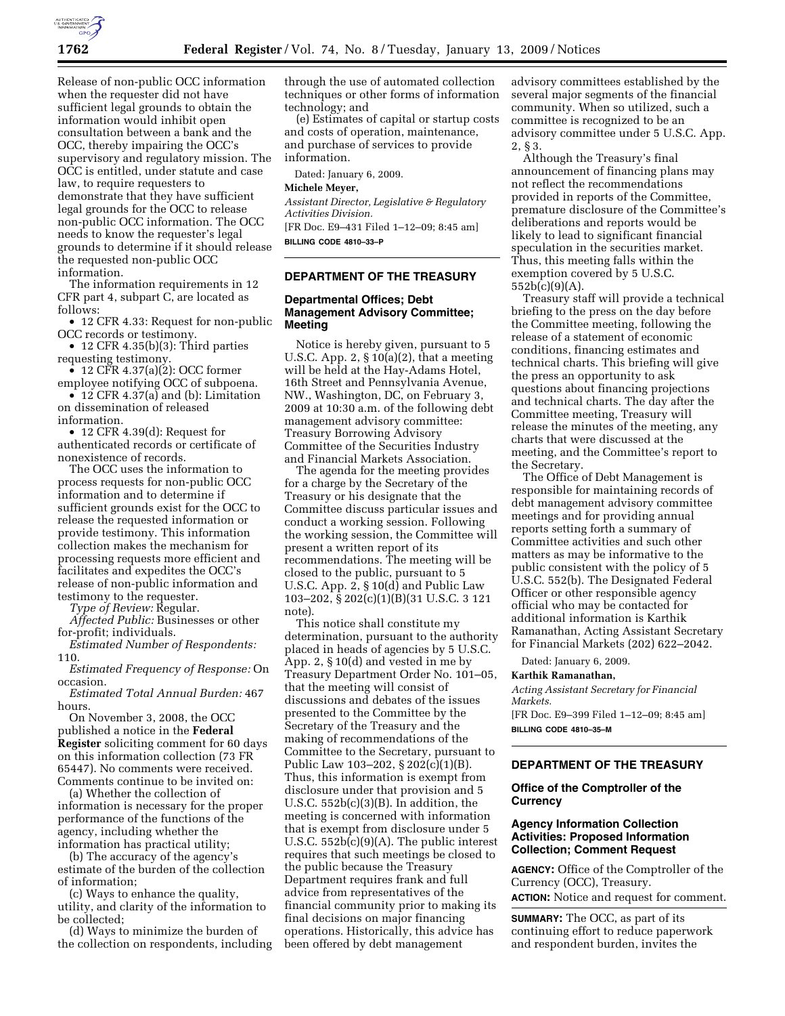

Release of non-public OCC information when the requester did not have sufficient legal grounds to obtain the information would inhibit open consultation between a bank and the OCC, thereby impairing the OCC's supervisory and regulatory mission. The OCC is entitled, under statute and case law, to require requesters to demonstrate that they have sufficient legal grounds for the OCC to release non-public OCC information. The OCC needs to know the requester's legal grounds to determine if it should release the requested non-public OCC information.

The information requirements in 12 CFR part 4, subpart C, are located as follows:

• 12 CFR 4.33: Request for non-public OCC records or testimony.

• 12 CFR 4.35(b)(3): Third parties requesting testimony.

• 12 CFR 4.37(a) $(2)$ : OCC former employee notifying OCC of subpoena.

• 12 CFR 4.37(a) and (b): Limitation on dissemination of released information.

• 12 CFR 4.39(d): Request for authenticated records or certificate of nonexistence of records.

The OCC uses the information to process requests for non-public OCC information and to determine if sufficient grounds exist for the OCC to release the requested information or provide testimony. This information collection makes the mechanism for processing requests more efficient and facilitates and expedites the OCC's release of non-public information and testimony to the requester.

*Type of Review:* Regular.

*Affected Public:* Businesses or other for-profit; individuals.

*Estimated Number of Respondents:*  110.

*Estimated Frequency of Response:* On occasion.

*Estimated Total Annual Burden:* 467 hours.

On November 3, 2008, the OCC published a notice in the **Federal Register** soliciting comment for 60 days on this information collection (73 FR 65447). No comments were received. Comments continue to be invited on:

(a) Whether the collection of information is necessary for the proper performance of the functions of the agency, including whether the information has practical utility;

(b) The accuracy of the agency's estimate of the burden of the collection of information;

(c) Ways to enhance the quality, utility, and clarity of the information to be collected;

(d) Ways to minimize the burden of the collection on respondents, including through the use of automated collection techniques or other forms of information technology; and

(e) Estimates of capital or startup costs and costs of operation, maintenance, and purchase of services to provide information.

Dated: January 6, 2009.

### **Michele Meyer,**

*Assistant Director, Legislative & Regulatory Activities Division.*  [FR Doc. E9–431 Filed 1–12–09; 8:45 am] **BILLING CODE 4810–33–P** 

#### **DEPARTMENT OF THE TREASURY**

#### **Departmental Offices; Debt Management Advisory Committee; Meeting**

Notice is hereby given, pursuant to 5 U.S.C. App. 2,  $\S 10(a)(2)$ , that a meeting will be held at the Hay-Adams Hotel, 16th Street and Pennsylvania Avenue, NW., Washington, DC, on February 3, 2009 at 10:30 a.m. of the following debt management advisory committee: Treasury Borrowing Advisory Committee of the Securities Industry and Financial Markets Association.

The agenda for the meeting provides for a charge by the Secretary of the Treasury or his designate that the Committee discuss particular issues and conduct a working session. Following the working session, the Committee will present a written report of its recommendations. The meeting will be closed to the public, pursuant to 5 U.S.C. App. 2, § 10(d) and Public Law 103–202, § 202(c)(1)(B)(31 U.S.C. 3 121 note).

This notice shall constitute my determination, pursuant to the authority placed in heads of agencies by 5 U.S.C. App. 2, § 10(d) and vested in me by Treasury Department Order No. 101–05, that the meeting will consist of discussions and debates of the issues presented to the Committee by the Secretary of the Treasury and the making of recommendations of the Committee to the Secretary, pursuant to Public Law 103–202, § 202(c)(1)(B). Thus, this information is exempt from disclosure under that provision and 5 U.S.C.  $552b(c)(3)(B)$ . In addition, the meeting is concerned with information that is exempt from disclosure under 5 U.S.C. 552b(c)(9)(A). The public interest requires that such meetings be closed to the public because the Treasury Department requires frank and full advice from representatives of the financial community prior to making its final decisions on major financing operations. Historically, this advice has been offered by debt management

advisory committees established by the several major segments of the financial community. When so utilized, such a committee is recognized to be an advisory committee under 5 U.S.C. App. 2, § 3.

Although the Treasury's final announcement of financing plans may not reflect the recommendations provided in reports of the Committee, premature disclosure of the Committee's deliberations and reports would be likely to lead to significant financial speculation in the securities market. Thus, this meeting falls within the exemption covered by 5 U.S.C. 552b(c)(9)(A).

Treasury staff will provide a technical briefing to the press on the day before the Committee meeting, following the release of a statement of economic conditions, financing estimates and technical charts. This briefing will give the press an opportunity to ask questions about financing projections and technical charts. The day after the Committee meeting, Treasury will release the minutes of the meeting, any charts that were discussed at the meeting, and the Committee's report to the Secretary.

The Office of Debt Management is responsible for maintaining records of debt management advisory committee meetings and for providing annual reports setting forth a summary of Committee activities and such other matters as may be informative to the public consistent with the policy of 5 U.S.C. 552(b). The Designated Federal Officer or other responsible agency official who may be contacted for additional information is Karthik Ramanathan, Acting Assistant Secretary for Financial Markets (202) 622–2042.

Dated: January 6, 2009.

#### **Karthik Ramanathan,**

*Acting Assistant Secretary for Financial Markets.*  [FR Doc. E9–399 Filed 1–12–09; 8:45 am]

**BILLING CODE 4810–35–M** 

#### **DEPARTMENT OF THE TREASURY**

# **Office of the Comptroller of the Currency**

# **Agency Information Collection Activities: Proposed Information Collection; Comment Request**

**AGENCY:** Office of the Comptroller of the Currency (OCC), Treasury. **ACTION:** Notice and request for comment.

**SUMMARY:** The OCC, as part of its continuing effort to reduce paperwork and respondent burden, invites the